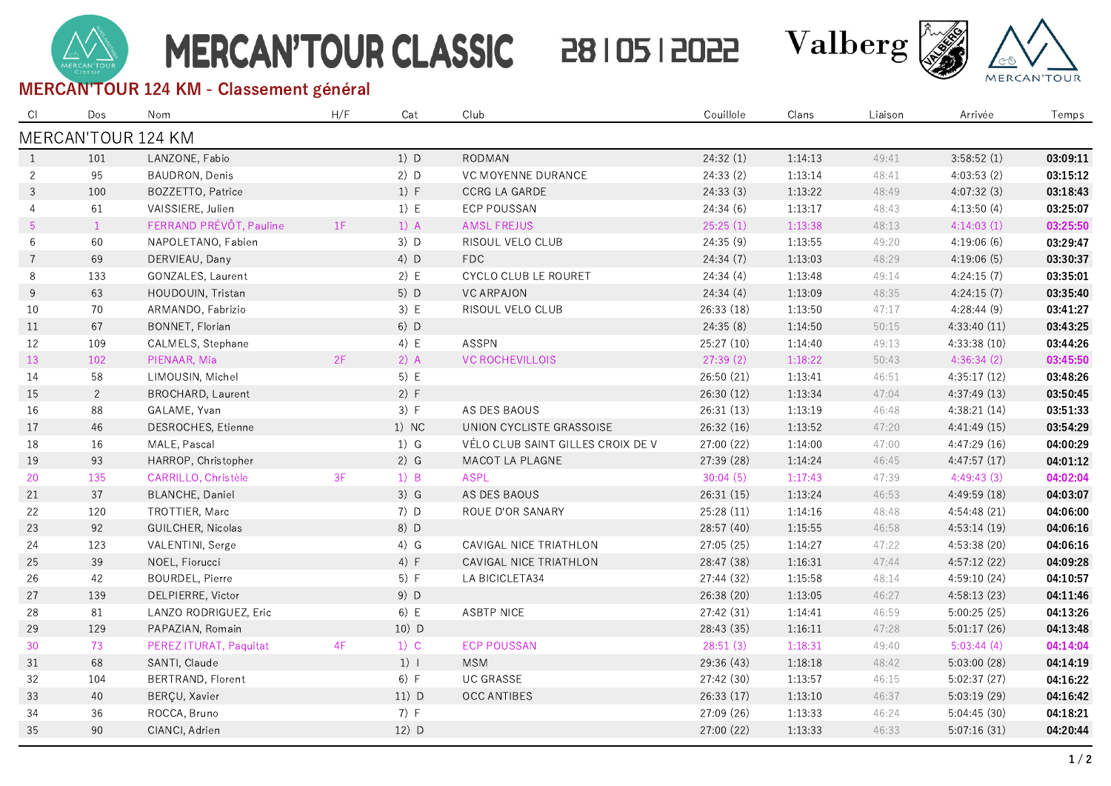# **MERCAN'TOUR CLASSIC**

## 28 | 05 | 2022



#### MERCAN'TOUR 124 KM - Classement général

| - CI            | Dos            | Nom                      | H/F | Cat     | Club                              | Couillole  | Clans   | Liaison | Arrivée      | Temps    |
|-----------------|----------------|--------------------------|-----|---------|-----------------------------------|------------|---------|---------|--------------|----------|
|                 |                | MERCAN'TOUR 124 KM       |     |         |                                   |            |         |         |              |          |
| $\overline{1}$  | 101            | LANZONE, Fabio           |     | $1)$ D  | RODMAN                            | 24:32(1)   | 1:14:13 | 49:41   | 3:58:52(1)   | 03:09:11 |
| 2               | 95             | BAUDRON, Denis           |     | $2)$ D  | VC MOYENNE DURANCE                | 24:33(2)   | 1:13:14 | 48:41   | 4:03:53(2)   | 03:15:12 |
| 3               | 100            | BOZZETTO, Patrice        |     | 1) F    | CCRG LA GARDE                     | 24:33(3)   | 1:13:22 | 48:49   | 4:07:32(3)   | 03:18:43 |
| $\overline{4}$  | 61             | VAISSIERE, Julien        |     | 1) E    | ECP POUSSAN                       | 24:34(6)   | 1:13:17 | 48:43   | 4:13:50(4)   | 03:25:07 |
| $5\overline{)}$ | $\overline{1}$ | FERRAND PRÉVÔT, Pauline  | 1F  | $1)$ A  | <b>AMSL FREJUS</b>                | 25:25(1)   | 1:13:38 | 48:13   | 4:14:03(1)   | 03:25:50 |
| $6\phantom{.}6$ | 60             | NAPOLETANO, Fabien       |     | $3)$ D  | RISOUL VELO CLUB                  | 24:35(9)   | 1:13:55 | 49:20   | 4:19:06(6)   | 03:29:47 |
| $\overline{7}$  | 69             | DERVIEAU, Dany           |     | 4) D    | FDC                               | 24:34(7)   | 1:13:03 | 48:29   | 4:19:06(5)   | 03:30:37 |
| 8               | 133            | GONZALES, Laurent        |     | 2) E    | CYCLO CLUB LE ROURET              | 24:34(4)   | 1:13:48 | 49:14   | 4:24:15(7)   | 03:35:01 |
| 9               | 63             | HOUDOUIN, Tristan        |     | 5) D    | <b>VC ARPAJON</b>                 | 24:34(4)   | 1:13:09 | 48:35   | 4:24:15(7)   | 03:35:40 |
| 10              | 70             | ARMANDO, Fabrizio        |     | 3) E    | RISOUL VELO CLUB                  | 26:33 (18) | 1:13:50 | 47:17   | 4:28:44(9)   | 03:41:27 |
| 11              | 67             | BONNET, Florian          |     | 6) D    |                                   | 24:35(8)   | 1:14:50 | 50:15   | 4:33:40(11)  | 03:43:25 |
| 12              | 109            | CALMELS, Stephane        |     | 4) E    | ASSPN                             | 25:27 (10) | 1:14:40 | 49:13   | 4:33:38 (10) | 03:44:26 |
| 13              | 102            | PIENAAR, Mia             | 2F  | $2)$ A  | <b>VC ROCHEVILLOIS</b>            | 27:39(2)   | 1:18:22 | 50:43   | 4:36:34(2)   | 03:45:50 |
| 14              | 58             | LIMOUSIN, Michel         |     | 5) E    |                                   | 26:50 (21) | 1:13:41 | 46:51   | 4:35:17(12)  | 03:48:26 |
| 15              | $\overline{2}$ | <b>BROCHARD, Laurent</b> |     | 2) F    |                                   | 26:30 (12) | 1:13:34 | 47:04   | 4:37:49 (13) | 03:50:45 |
| 16              | 88             | GALAME, Yvan             |     | 3) F    | AS DES BAOUS                      | 26:31 (13) | 1:13:19 | 46:48   | 4:38:21 (14) | 03:51:33 |
| 17              | 46             | DESROCHES, Etienne       |     | 1) NC   | UNION CYCLISTE GRASSOISE          | 26:32 (16) | 1:13:52 | 47:20   | 4:41:49 (15) | 03:54:29 |
| 18              | 16             | MALE, Pascal             |     | $1)$ G  | VÉLO CLUB SAINT GILLES CROIX DE V | 27:00 (22) | 1:14:00 | 47:00   | 4:47:29 (16) | 04:00:29 |
| 19              | 93             | HARROP, Christopher      |     | $2)$ G  | MACOT LA PLAGNE                   | 27:39 (28) | 1:14:24 | 46:45   | 4:47:57(17)  | 04:01:12 |
| 20              | 135            | CARRILLO, Christèle      | 3F  | $1)$ B  | <b>ASPL</b>                       | 30:04(5)   | 1:17:43 | 47:39   | 4:49:43(3)   | 04:02:04 |
| 21              | 37             | <b>BLANCHE, Daniel</b>   |     | $3)$ G  | AS DES BAOUS                      | 26:31 (15) | 1:13:24 | 46:53   | 4:49:59 (18) | 04:03:07 |
| 22              | 120            | TROTTIER, Marc           |     | 7) D    | ROUE D'OR SANARY                  | 25:28 (11) | 1:14:16 | 48:48   | 4:54:48 (21) | 04:06:00 |
| 23              | 92             | GUILCHER, Nicolas        |     | 8) D    |                                   | 28:57 (40) | 1:15:55 | 46:58   | 4:53:14 (19) | 04:06:16 |
| 24              | 123            | VALENTINI, Serge         |     | $4)$ G  | CAVIGAL NICE TRIATHLON            | 27:05 (25) | 1:14:27 | 47:22   | 4:53:38 (20) | 04:06:16 |
| 25              | 39             | NOEL, Fiorucci           |     | 4) F    | CAVIGAL NICE TRIATHLON            | 28:47 (38) | 1:16:31 | 47:44   | 4:57:12(22)  | 04:09:28 |
| 26              | 42             | BOURDEL, Pierre          |     | 5) F    | LA BICICLETA34                    | 27:44 (32) | 1:15:58 | 48:14   | 4:59:10 (24) | 04:10:57 |
| 27              | 139            | DELPIERRE, Victor        |     | 9) D    |                                   | 26:38 (20) | 1:13:05 | 46:27   | 4:58:13 (23) | 04:11:46 |
| 28              | 81             | LANZO RODRIGUEZ, Eric    |     | 6) E    | ASBTP NICE                        | 27:42 (31) | 1:14:41 | 46:59   | 5:00:25(25)  | 04:13:26 |
| 29              | 129            | PAPAZIAN, Romain         |     | $10)$ D |                                   | 28:43 (35) | 1:16:11 | 47:28   | 5:01:17(26)  | 04:13:48 |
| 30              | 73             | PEREZ ITURAT, Paquitat   | 4F  | $1)$ C  | <b>ECP POUSSAN</b>                | 28:51(3)   | 1:18:31 | 49:40   | 5:03:44(4)   | 04:14:04 |
| 31              | 68             | SANTI, Claude            |     | $1)$    | <b>MSM</b>                        | 29:36 (43) | 1:18:18 | 48:42   | 5:03:00 (28) | 04:14:19 |
| 32              | 104            | BERTRAND, Florent        |     | 6) F    | <b>UC GRASSE</b>                  | 27:42 (30) | 1:13:57 | 46:15   | 5:02:37(27)  | 04:16:22 |
| 33              | 40             | BERÇU, Xavier            |     | $11)$ D | <b>OCC ANTIBES</b>                | 26:33(17)  | 1:13:10 | 46:37   | 5:03:19 (29) | 04:16:42 |
| 34              | 36             | ROCCA, Bruno             |     | 7) F    |                                   | 27:09 (26) | 1:13:33 | 46:24   | 5:04:45(30)  | 04:18:21 |
| 35              | 90             | CIANCI, Adrien           |     | 12) D   |                                   | 27:00 (22) | 1:13:33 | 46:33   | 5:07:16(31)  | 04:20:44 |